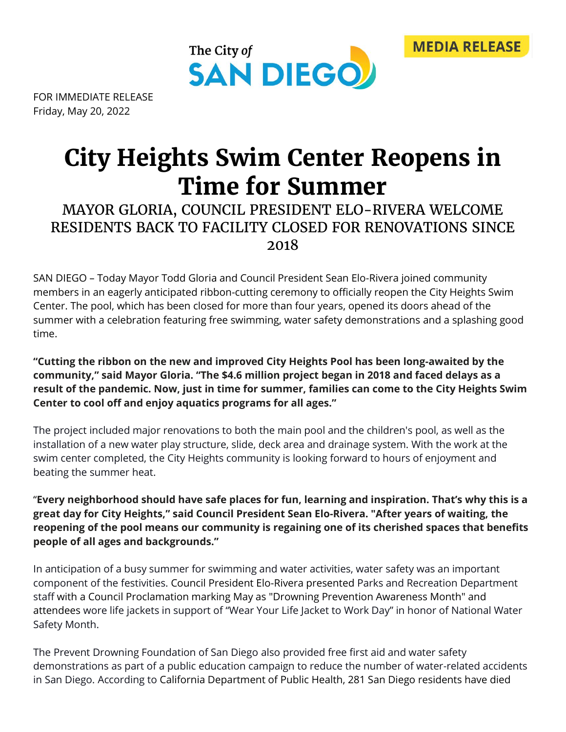



FOR IMMEDIATE RELEASE Friday, May 20, 2022

## **City Heights Swim Center Reopens in Time for Summer**

## MAYOR GLORIA, COUNCIL PRESIDENT ELO-RIVERA WELCOME RESIDENTS BACK TO FACILITY CLOSED FOR RENOVATIONS SINCE 2018

SAN DIEGO – Today Mayor Todd Gloria and Council President Sean Elo-Rivera joined community members in an eagerly anticipated ribbon-cutting ceremony to officially reopen the City Heights Swim Center. The pool, which has been closed for more than four years, opened its doors ahead of the summer with a celebration featuring free swimming, water safety demonstrations and a splashing good time.

## **"Cutting the ribbon on the new and improved City Heights Pool has been long-awaited by the community," said Mayor Gloria. "The \$4.6 million project began in 2018 and faced delays as a result of the pandemic. Now, just in time for summer, families can come to the City Heights Swim Center to cool off and enjoy aquatics programs for all ages."**

The project included major renovations to both the main pool and the children's pool, as well as the installation of a new water play structure, slide, deck area and drainage system. With the work at the swim center completed, the City Heights community is looking forward to hours of enjoyment and beating the summer heat.

"**Every neighborhood should have safe places for fun, learning and inspiration. That's why this is a great day for City Heights," said Council President Sean Elo-Rivera. "After years of waiting, the reopening of the pool means our community is regaining one of its cherished spaces that benefits people of all ages and backgrounds."**

In anticipation of a busy summer for swimming and water activities, water safety was an important component of the festivities. Council President Elo-Rivera presented Parks and Recreation Department staff with a Council Proclamation marking May as "Drowning Prevention Awareness Month" and attendees wore life jackets in support of "Wear Your Life Jacket to Work Day" in honor of National Water Safety Month.

The Prevent Drowning Foundation of San Diego also provided free first aid and water safety demonstrations as part of a public education campaign to reduce the number of water-related accidents in San Diego. According to California Department of Public Health, 281 San Diego residents have died